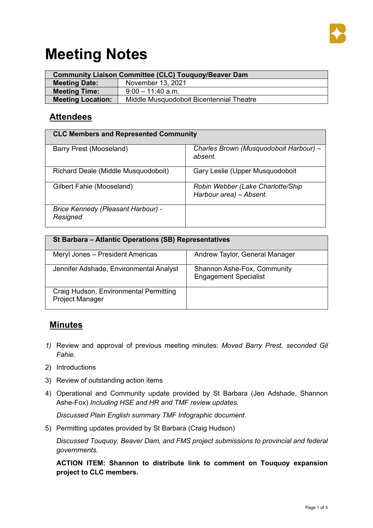

# **Meeting Notes**

| <b>Community Liaison Committee (CLC) Touquoy/Beaver Dam</b> |                                          |  |  |  |
|-------------------------------------------------------------|------------------------------------------|--|--|--|
| <b>Meeting Date:</b>                                        | November 13, 2021                        |  |  |  |
| <b>Meeting Time:</b>                                        | $9:00 - 11:40$ a.m.                      |  |  |  |
| <b>Meeting Location:</b>                                    | Middle Musquodoboit Bicentennial Theatre |  |  |  |

## **Attendees**

| <b>CLC Members and Represented Community</b>          |                                                              |  |  |  |
|-------------------------------------------------------|--------------------------------------------------------------|--|--|--|
| Barry Prest (Mooseland)                               | Charles Brown (Musquodoboit Harbour) –<br>absent.            |  |  |  |
| Richard Deale (Middle Musquodoboit)                   | Gary Leslie (Upper Musquodoboit                              |  |  |  |
| Gilbert Fahie (Mooseland)                             | Robin Webber (Lake Charlotte/Ship<br>Harbour area) - Absent. |  |  |  |
| <b>Brice Kennedy (Pleasant Harbour) -</b><br>Resigned |                                                              |  |  |  |

| St Barbara - Atlantic Operations (SB) Representatives            |                                                             |  |  |  |  |
|------------------------------------------------------------------|-------------------------------------------------------------|--|--|--|--|
| Meryl Jones - President Americas                                 | Andrew Taylor, General Manager                              |  |  |  |  |
| Jennifer Adshade, Environmental Analyst                          | Shannon Ashe-Fox, Community<br><b>Engagement Specialist</b> |  |  |  |  |
| Craig Hudson, Environmental Permitting<br><b>Project Manager</b> |                                                             |  |  |  |  |

## **Minutes**

- *1)* Review and approval of previous meeting minutes: *Moved Barry Prest, seconded Gil Fahie.*
- 2) Introductions
- 3) Review of outstanding action items
- 4) Operational and Community update provided by St Barbara (Jen Adshade, Shannon Ashe-Fox) *Including HSE and HR and TMF review updates.*

*Discussed Plain English summary TMF Infographic document*.

5) Permitting updates provided by St Barbara (Craig Hudson)

*Discussed Touquoy, Beaver Dam, and FMS project submissions to provincial and federal governments.*

**ACTION ITEM: Shannon to distribute link to comment on Touquoy expansion project to CLC members.**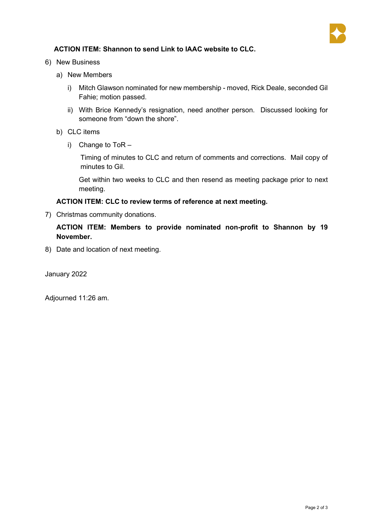

### **ACTION ITEM: Shannon to send Link to IAAC website to CLC.**

6) New Business

- a) New Members
	- i) Mitch Glawson nominated for new membership moved, Rick Deale, seconded Gil Fahie; motion passed.
	- ii) With Brice Kennedy's resignation, need another person. Discussed looking for someone from "down the shore".
- b) CLC items
	- i) Change to ToR –

Timing of minutes to CLC and return of comments and corrections. Mail copy of minutes to Gil.

Get within two weeks to CLC and then resend as meeting package prior to next meeting.

#### **ACTION ITEM: CLC to review terms of reference at next meeting.**

7) Christmas community donations.

#### **ACTION ITEM: Members to provide nominated non-profit to Shannon by 19 November.**

8) Date and location of next meeting.

January 2022

Adjourned 11:26 am.